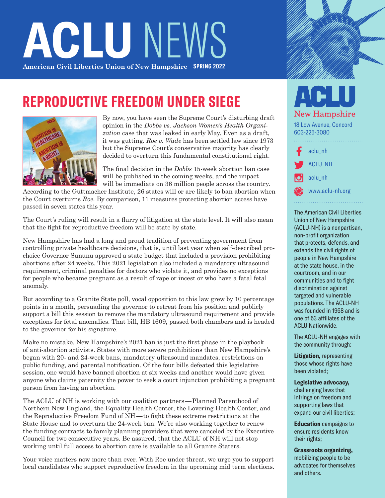# **ACLU NEW American Civil Liberties Union of New Hampshire SPRING 2022**

### **REPRODUCTIVE FREEDOM UNDER SIEGE**



By now, you have seen the Supreme Court's disturbing draft opinion in the *Dobbs vs. Jackson Women's Health Organization* case that was leaked in early May. Even as a draft, it was gutting. *Roe v. Wade* has been settled law since 1973 but the Supreme Court's conservative majority has clearly decided to overturn this fundamental constitutional right.

The final decision in the *Dobbs* 15-week abortion ban case will be published in the coming weeks, and the impact will be immediate on 36 million people across the country.

According to the Guttmacher Institute, 26 states will or are likely to ban abortion when the Court overturns *Roe*. By comparison, 11 measures protecting abortion access have passed in seven states this year.

The Court's ruling will result in a flurry of litigation at the state level. It will also mean that the fight for reproductive freedom will be state by state.

New Hampshire has had a long and proud tradition of preventing government from controlling private healthcare decisions, that is, until last year when self-described prochoice Governor Sununu approved a state budget that included a provision prohibiting abortions after 24 weeks. This 2021 legislation also included a mandatory ultrasound requirement, criminal penalties for doctors who violate it, and provides no exceptions for people who became pregnant as a result of rape or incest or who have a fatal fetal anomaly.

But according to a Granite State poll, vocal opposition to this law grew by 10 percentage points in a month, persuading the governor to retreat from his position and publicly support a bill this session to remove the mandatory ultrasound requirement and provide exceptions for fetal anomalies. That bill, HB 1609, passed both chambers and is headed to the governor for his signature.

Make no mistake, New Hampshire's 2021 ban is just the first phase in the playbook of anti-abortion activists. States with more severe prohibitions than New Hampshire's began with 20- and 24-week bans, mandatory ultrasound mandates, restrictions on public funding, and parental notification. Of the four bills defeated this legislative session, one would have banned abortion at six weeks and another would have given anyone who claims paternity the power to seek a court injunction prohibiting a pregnant person from having an abortion.

The ACLU of NH is working with our coalition partners—Planned Parenthood of Northern New England, the Equality Health Center, the Lovering Health Center, and the Reproductive Freedom Fund of NH—to fight these extreme restrictions at the State House and to overturn the 24-week ban. We're also working together to renew the funding contracts to family planning providers that were canceled by the Executive Council for two consecutive years. Be assured, that the ACLU of NH will not stop working until full access to abortion care is available to all Granite Staters.

Your voice matters now more than ever. With Roe under threat, we urge you to support local candidates who support reproductive freedom in the upcoming mid term elections.

### **New Hampshire** 18 Low Avenue, Concord 603-225-3080 [aclu\\_nh](https://www.facebook.com/aclu_nh) [ACLU\\_NH](https://twitter.com/ACLU_NH) [aclu\\_nh](https://www.instagram.com/aclu_nh/) [www.aclu-nh.org](http://www.aclu-nh.org)

The American Civil Liberties Union of New Hampshire (ACLU-NH) is a nonpartisan, non-profit organization that protects, defends, and extends the civil rights of people in New Hampshire at the state house, in the courtroom, and in our communities and to fight discrimination against targeted and vulnerable populations. The ACLU-NH was founded in 1968 and is one of 53 affiliates of the ACLU Nationwide.

The ACLU-NH engages with the community through:

**Litigation,** representing those whose rights have been violated;

**Legislative advocacy,** challenging laws that infringe on freedom and supporting laws that expand our civil liberties;

**Education** campaigns to ensure residents know their rights;

**Grassroots organizing,** mobilizing people to be advocates for themselves and others.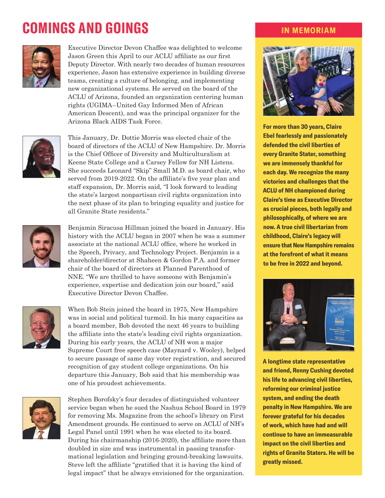# **COMINGS AND GOINGS IN MEMORIAM**



Executive Director Devon Chaffee was delighted to welcome Jason Green this April to our ACLU affiliate as our first Deputy Director. With nearly two decades of human resources experience, Jason has extensive experience in building diverse teams, creating a culture of belonging, and implementing new organizational systems. He served on the board of the ACLU of Arizona, founded an organization centering human rights (UGIMA–United Gay Informed Men of African American Descent), and was the principal organizer for the Arizona Black AIDS Task Force.



This January, Dr. Dottie Morris was elected chair of the board of directors of the ACLU of New Hampshire. Dr. Morris is the Chief Officer of Diversity and Multiculturalism at Keene State College and a Carsey Fellow for NH Listens. She succeeds Leonard "Skip" Small M.D. as board chair, who served from 2019-2022. On the affiliate's five year plan and staff expansion, Dr. Morris said, "I look forward to leading the state's largest nonpartisan civil rights organization into the next phase of its plan to bringing equality and justice for all Granite State residents."



Benjamin Siracusa Hillman joined the board in January. His history with the ACLU began in 2007 when he was a summer associate at the national ACLU office, where he worked in the Speech, Privacy, and Technology Project. Benjamin is a shareholder/director at Shaheen & Gordon P.A. and former chair of the board of directors at Planned Parenthood of NNE. "We are thrilled to have someone with Benjamin's experience, expertise and dedication join our board," said Executive Director Devon Chaffee.



When Bob Stein joined the board in 1975, New Hampshire was in social and political turmoil. In his many capacities as a board member, Bob devoted the next 46 years to building the affiliate into the state's leading civil rights organization. During his early years, the ACLU of NH won a major Supreme Court free speech case (Maynard v. Wooley), helped to secure passage of same day voter registration, and secured recognition of gay student college organizations. On his departure this January, Bob said that his membership was one of his proudest achievements.



Stephen Borofsky's four decades of distinguished volunteer service began when he sued the Nashua School Board in 1979 for removing Ms. Magazine from the school's library on First Amendment grounds. He continued to serve on ACLU of NH's Legal Panel until 1991 when he was elected to its board. During his chairmanship (2016-2020), the affiliate more than doubled in size and was instrumental in passing transformational legislation and bringing ground-breaking lawsuits. Steve left the affiliate "gratified that it is having the kind of legal impact" that he always envisioned for the organization.



**For more than 30 years, Claire Ebel fearlessly and passionately defended the civil liberties of every Granite Stater, something we are immensely thankful for each day. We recognize the many victories and challenges that the ACLU of NH championed during Claire's time as Executive Director as crucial pieces, both legally and philosophically, of where we are now. A true civil libertarian from childhood, Claire's legacy will ensure that New Hampshire remains at the forefront of what it means to be free in 2022 and beyond.** 



**A longtime state representative and friend, Renny Cushing devoted his life to advancing civil liberties, reforming our criminal justice system, and ending the death penalty in New Hampshire. We are forever grateful for his decades of work, which have had and will continue to have an immeasurable impact on the civil liberties and rights of Granite Staters. He will be greatly missed.**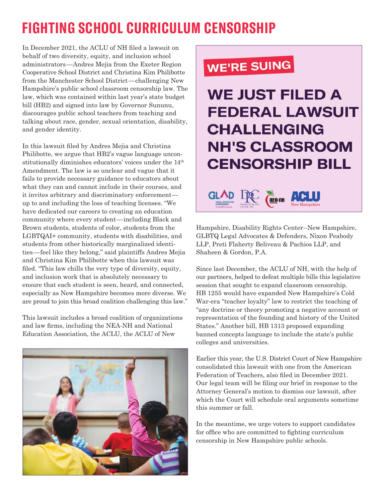# **FIGHTING SCHOOL CURRICULUM CENSORSHIP**

In December 2021, the ACLU of NH filed a lawsuit on behalf of two diversity, equity, and inclusion school administrators—Andres Mejia from the Exeter Region Cooperative School District and Christina Kim Philibotte from the Manchester School District—challenging New Hampshire's public school classroom censorship law. The law, which was contained within last year's state budget bill (HB2) and signed into law by Governor Sununu, discourages public school teachers from teaching and talking about race, gender, sexual orientation, disability, and gender identity.

In this lawsuit filed by Andres Mejia and Christina Philibotte, we argue that HB2's vague language unconstitutionally diminishes educators' voices under the 14th Amendment. The law is so unclear and vague that it fails to provide necessary guidance to educators about what they can and cannot include in their courses, and it invites arbitrary and discriminatory enforcement up to and including the loss of teaching licenses. "We have dedicated our careers to creating an education community where every student—including Black and Brown students, students of color, students from the LGBTQAI+ community, students with disabilities, and students from other historically marginalized identities—feel like they belong," said plaintiffs Andres Mejia and Christina Kim Philibotte when this lawsuit was filed. "This law chills the very type of diversity, equity, and inclusion work that is absolutely necessary to ensure that each student is seen, heard, and connected, especially as New Hampshire becomes more diverse. We are proud to join this broad coalition challenging this law."

This lawsuit includes a broad coalition of organizations and law firms, including the NEA-NH and National Education Association, the ACLU, the ACLU of New



# **WE'RE SUING**

# **WE JUST FILED A FEDERAL LAWSUIT CHALLENGING NH'S CLASSROOM CENSORSHIP BILL NEA-NH**

Hampshire, Disability Rights Center–New Hampshire, GLBTQ Legal Advocates & Defenders, Nixon Peabody LLP, Preti Flaherty Beliveau & Pachios LLP, and Shaheen & Gordon, P.A.

Since last December, the ACLU of NH, with the help of our partners, helped to defeat multiple bills this legislative session that sought to expand classroom censorship. HB 1255 would have expanded New Hampshire's Cold War-era "teacher loyalty" law to restrict the teaching of "any doctrine or theory promoting a negative account or representation of the founding and history of the United States." Another bill, HB 1313 proposed expanding banned concepts language to include the state's public colleges and universities.

Earlier this year, the U.S. District Court of New Hampshire consolidated this lawsuit with one from the American Federation of Teachers, also filed in December 2021. Our legal team will be filing our brief in response to the Attorney General's motion to dismiss our lawsuit, after which the Court will schedule oral arguments sometime this summer or fall.

In the meantime, we urge voters to support candidates for office who are committed to fighting curriculum censorship in New Hampshire public schools.